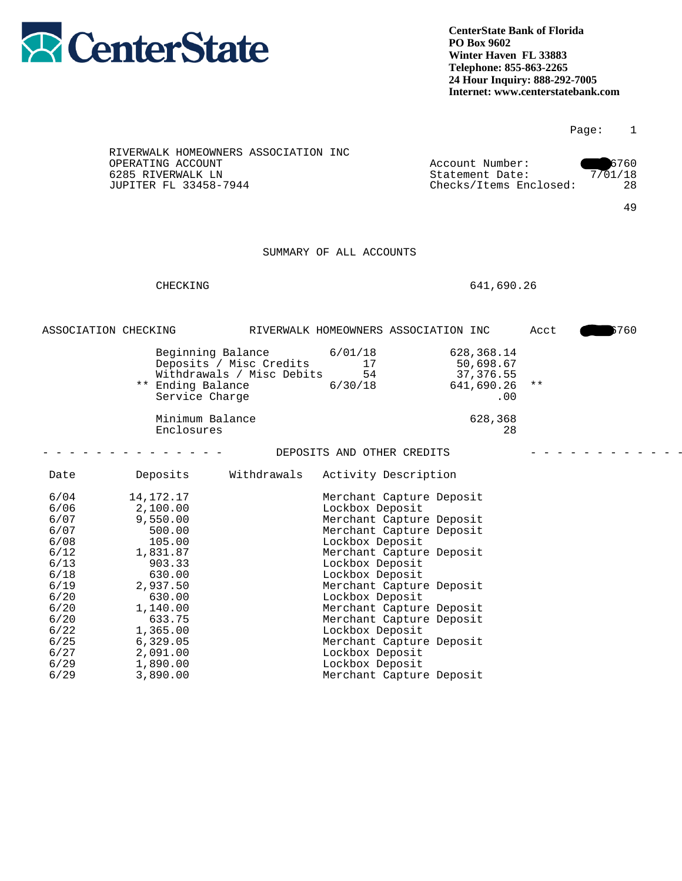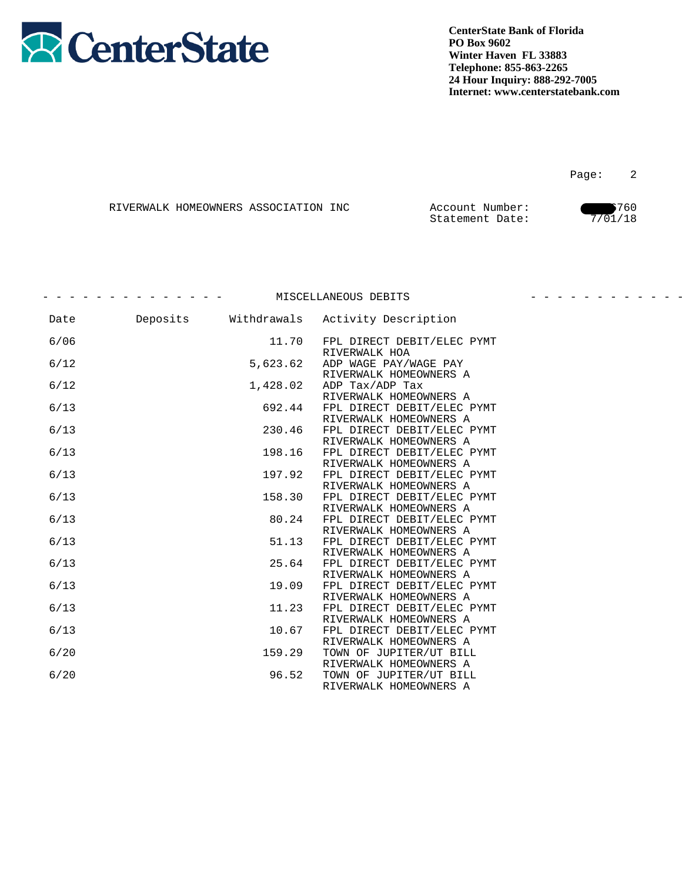

Page: 2

|  | RIVERWALK HOMEOWNERS ASSOCIATION INC | Account Number: | 1760    |
|--|--------------------------------------|-----------------|---------|
|  |                                      | Statement Date: | 7/01/18 |

- - - - - - - - - - - - - - MISCELLANEOUS DEBITS - - - - - - - - - - - - -

| Date   |          | Deposits Withdrawals Activity Description            |
|--------|----------|------------------------------------------------------|
| 6/06   | 11.70    | FPL DIRECT DEBIT/ELEC PYMT                           |
| 6/12   | 5,623.62 | RIVERWALK HOA<br>ADP WAGE PAY/WAGE PAY               |
|        |          | RIVERWALK HOMEOWNERS A                               |
| 6/12   | 1,428.02 | ADP Tax/ADP Tax<br>RIVERWALK HOMEOWNERS A            |
| 6/13   | 692.44   | FPL DIRECT DEBIT/ELEC PYMT                           |
| 6/13   | 230.46   | RIVERWALK HOMEOWNERS A<br>FPL DIRECT DEBIT/ELEC PYMT |
|        |          | RIVERWALK HOMEOWNERS A                               |
| 6/13   | 198.16   | FPL DIRECT DEBIT/ELEC PYMT                           |
|        |          | RIVERWALK HOMEOWNERS A                               |
| 6/13   | 197.92   | FPL DIRECT DEBIT/ELEC PYMT                           |
|        |          | RIVERWALK HOMEOWNERS A                               |
| 6/13   | 158.30   | FPL DIRECT DEBIT/ELEC PYMT                           |
|        |          | RIVERWALK HOMEOWNERS A                               |
| 6/13   | 80.24    | FPL DIRECT DEBIT/ELEC PYMT                           |
| 6/13   | 51.13    | RIVERWALK HOMEOWNERS A<br>FPL DIRECT DEBIT/ELEC PYMT |
|        |          | RIVERWALK HOMEOWNERS A                               |
| $6/13$ | 25.64    | FPL DIRECT DEBIT/ELEC PYMT                           |
|        |          | RIVERWALK HOMEOWNERS A                               |
| 6/13   | 19.09    | FPL DIRECT DEBIT/ELEC PYMT                           |
|        |          | RIVERWALK HOMEOWNERS A                               |
| 6/13   | 11.23    | FPL DIRECT DEBIT/ELEC PYMT                           |
|        |          | RIVERWALK HOMEOWNERS A                               |
| 6/13   | 10.67    | FPL DIRECT DEBIT/ELEC PYMT                           |
|        |          | RIVERWALK HOMEOWNERS A                               |
| 6/20   | 159.29   | TOWN OF JUPITER/UT BILL                              |
| 6/20   | 96.52    | RIVERWALK HOMEOWNERS A<br>TOWN OF JUPITER/UT BILL    |
|        |          | RIVERWALK HOMEOWNERS A                               |
|        |          |                                                      |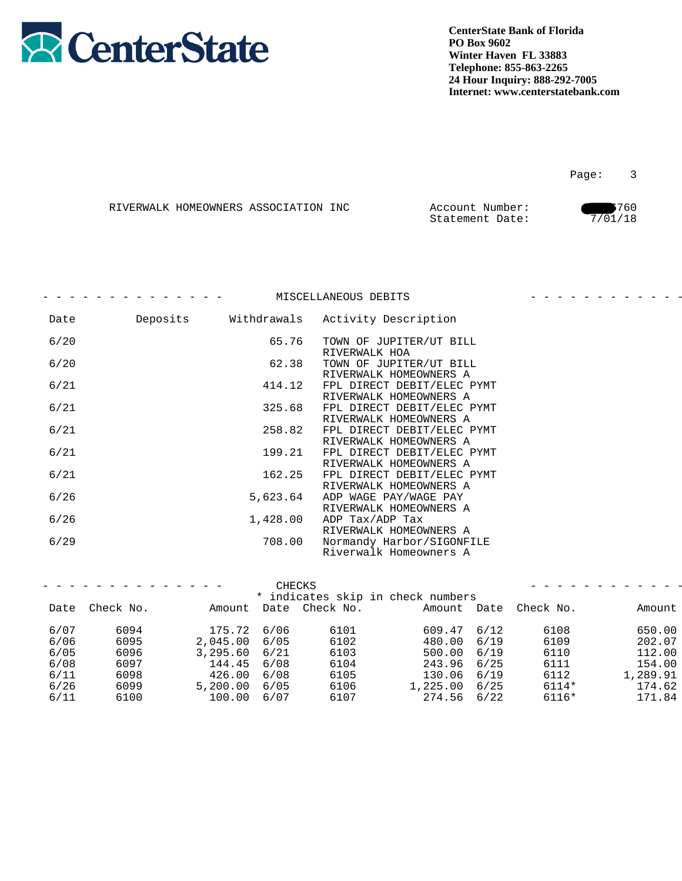

|  | RIVERWALK HOMEOWNERS ASSOCIATION INC | Account Number: | 1760    |
|--|--------------------------------------|-----------------|---------|
|  |                                      | Statement Date: | 7/01/18 |

|      |          | MISCELLANEOUS DEBITS                                 |  |
|------|----------|------------------------------------------------------|--|
| Date |          | Deposits Withdrawals Activity Description            |  |
| 6/20 | 65.76    | TOWN OF JUPITER/UT BILL<br>RIVERWALK HOA             |  |
| 6/20 | 62.38    | TOWN OF JUPITER/UT BILL<br>RIVERWALK HOMEOWNERS A    |  |
| 6/21 | 414.12   | FPL DIRECT DEBIT/ELEC PYMT<br>RIVERWALK HOMEOWNERS A |  |
| 6/21 | 325.68   | FPL DIRECT DEBIT/ELEC PYMT<br>RIVERWALK HOMEOWNERS A |  |
| 6/21 | 258.82   | FPL DIRECT DEBIT/ELEC PYMT<br>RIVERWALK HOMEOWNERS A |  |
| 6/21 | 199.21   | FPL DIRECT DEBIT/ELEC PYMT<br>RIVERWALK HOMEOWNERS A |  |
| 6/21 | 162.25   | FPL DIRECT DEBIT/ELEC PYMT<br>RIVERWALK HOMEOWNERS A |  |
| 6/26 | 5,623.64 | ADP WAGE PAY/WAGE PAY<br>RIVERWALK HOMEOWNERS A      |  |
| 6/26 | 1,428.00 | ADP Tax/ADP Tax<br>RIVERWALK HOMEOWNERS A            |  |
| 6/29 | 708.00   | Normandy Harbor/SIGONFILE<br>Riverwalk Homeowners A  |  |
|      |          |                                                      |  |

|        | --------------- |               | CHECKS                            |                 |                       |          |
|--------|-----------------|---------------|-----------------------------------|-----------------|-----------------------|----------|
|        |                 |               | * indicates skip in check numbers |                 |                       |          |
|        | Date Check No.  |               | Amount Date Check No.             |                 | Amount Date Check No. | Amount   |
| 6/07   | 6094            | 175.72 6/06   | 6101                              | $609.47$ $6/12$ | 6108                  | 650.00   |
| $6/06$ | 6095            | 2,045.00 6/05 | 6102                              | 480.00 6/19     | 6109                  | 202.07   |
| $6/05$ | 6096            | 3,295.60 6/21 | 6103                              | 500.00 6/19     | 6110                  | 112.00   |
| $6/08$ | 6097            | 144.45 6/08   | 6104                              | 243.96 6/25     | 6111                  | 154.00   |
| $6/11$ | 6098            | 426.00 6/08   | 6105                              | 130.06 6/19     | 6112                  | , 289.91 |
| 6/26   | 6099            | 5,200.00 6/05 | 6106                              | l,225.00 6/25   | 6114*                 | 174.62   |
| $6/11$ | 6100            | 100.00 6/07   | 6107                              | $274.56$ 6/22   | 6116*                 | 171.84   |